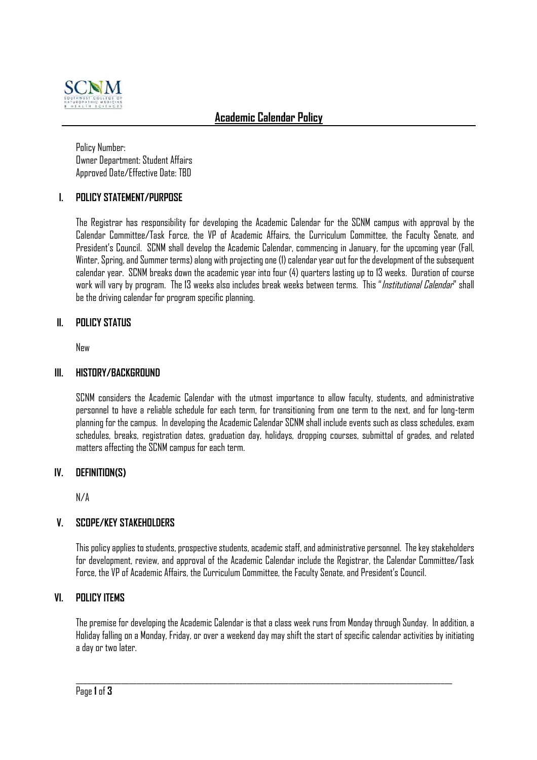

# **Academic Calendar Policy**

Policy Number: Owner Department: Student Affairs Approved Date/Effective Date: TBD

## **I. POLICY STATEMENT/PURPOSE**

The Registrar has responsibility for developing the Academic Calendar for the SCNM campus with approval by the Calendar Committee/Task Force, the VP of Academic Affairs, the Curriculum Committee, the Faculty Senate, and President's Council. SCNM shall develop the Academic Calendar, commencing in January, for the upcoming year (Fall, Winter, Spring, and Summer terms) along with projecting one (1) calendar year out for the development of the subsequent calendar year. SCNM breaks down the academic year into four (4) quarters lasting up to 13 weeks. Duration of course work will vary by program. The 13 weeks also includes break weeks between terms. This "Institutional Calendar" shall be the driving calendar for program specific planning.

#### **II. POLICY STATUS**

New

#### **III. HISTORY/BACKGROUND**

SCNM considers the Academic Calendar with the utmost importance to allow faculty, students, and administrative personnel to have a reliable schedule for each term, for transitioning from one term to the next, and for long-term planning for the campus. In developing the Academic Calendar SCNM shall include events such as class schedules, exam schedules, breaks, registration dates, graduation day, holidays, dropping courses, submittal of grades, and related matters affecting the SCNM campus for each term.

#### **IV. DEFINITION(S)**

N/A

#### **V. SCOPE/KEY STAKEHOLDERS**

This policy applies to students, prospective students, academic staff, and administrative personnel. The key stakeholders for development, review, and approval of the Academic Calendar include the Registrar, the Calendar Committee/Task Force, the VP of Academic Affairs, the Curriculum Committee, the Faculty Senate, and President's Council.

#### **VI. POLICY ITEMS**

The premise for developing the Academic Calendar is that a class week runs from Monday through Sunday. In addition, a Holiday falling on a Monday, Friday, or over a weekend day may shift the start of specific calendar activities by initiating a day or two later.

 $\_$  ,  $\_$  ,  $\_$  ,  $\_$  ,  $\_$  ,  $\_$  ,  $\_$  ,  $\_$  ,  $\_$  ,  $\_$  ,  $\_$  ,  $\_$  ,  $\_$  ,  $\_$  ,  $\_$  ,  $\_$  ,  $\_$  ,  $\_$  ,  $\_$  ,  $\_$  ,  $\_$  ,  $\_$  ,  $\_$  ,  $\_$  ,  $\_$  ,  $\_$  ,  $\_$  ,  $\_$  ,  $\_$  ,  $\_$  ,  $\_$  ,  $\_$  ,  $\_$  ,  $\_$  ,  $\_$  ,  $\_$  ,  $\_$  ,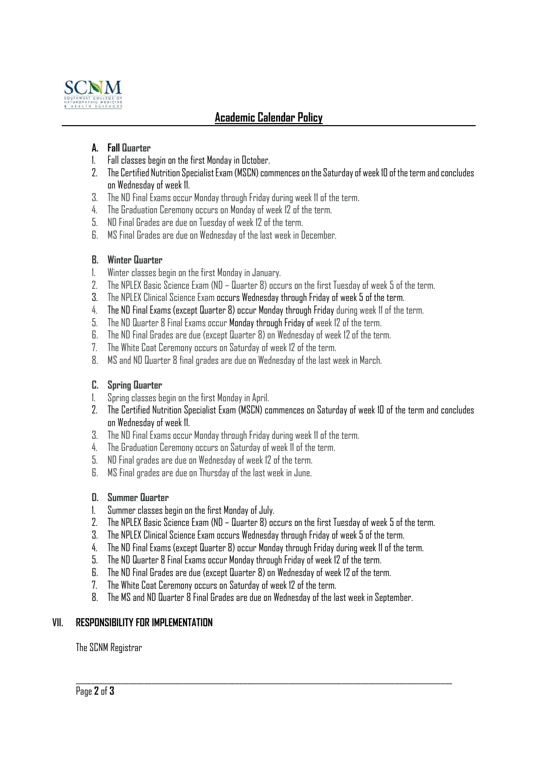

# **Academic Calendar Policy**

## **A. Fall Quarter**

- 1. Fall classes begin on the first Monday in October.
- 2. The Certified Nutrition Specialist Exam (MSCN) commences on the Saturday of week 10 of the term and concludes on Wednesday of week 11.
- 3. The ND Final Exams occur Monday through Friday during week 11 of the term.
- 4. The Graduation Ceremony occurs on Monday of week 12 of the term.
- 5. ND Final Grades are due on Tuesday of week 12 of the term.
- 6. MS Final Grades are due on Wednesday of the last week in December.

#### **B. Winter Quarter**

- 1. Winter classes begin on the first Monday in January.
- 2. The NPLEX Basic Science Exam (ND Quarter 8) occurs on the first Tuesday of week 5 of the term.
- 3. The NPLEX Clinical Science Exam occurs Wednesday through Friday of week 5 of the term.
- 4. The ND Final Exams (except Quarter 8) occur Monday through Friday during week 11 of the term.
- 5. The ND Quarter 8 Final Exams occur Monday through Friday of week 12 of the term.
- 6. The ND Final Grades are due (except Quarter 8) on Wednesday of week 12 of the term.
- 7. The White Coat Ceremony occurs on Saturday of week 12 of the term.
- 8. MS and ND Quarter 8 final grades are due on Wednesday of the last week in March.

#### **C. Spring Quarter**

- 1. Spring classes begin on the first Monday in April.
- 2. The Certified Nutrition Specialist Exam (MSCN) commences on Saturday of week 10 of the term and concludes on Wednesday of week 11.
- 3. The ND Final Exams occur Monday through Friday during week 11 of the term.
- 4. The Graduation Ceremony occurs on Saturday of week 11 of the term.
- 5. ND Final grades are due on Wednesday of week 12 of the term.
- 6. MS Final grades are due on Thursday of the last week in June.

#### **D. Summer Quarter**

- 1. Summer classes begin on the first Monday of July.
- 2. The NPLEX Basic Science Exam (ND Quarter 8) occurs on the first Tuesday of week 5 of the term.
- 3. The NPLEX Clinical Science Exam occurs Wednesday through Friday of week 5 of the term.
- 4. The ND Final Exams (except Quarter 8) occur Monday through Friday during week 11 of the term.
- 5. The ND Quarter 8 Final Exams occur Monday through Friday of week 12 of the term.
- 6. The ND Final Grades are due (except Quarter 8) on Wednesday of week 12 of the term.
- 7. The White Coat Ceremony occurs on Saturday of week 12 of the term.
- 8. The MS and ND Quarter 8 Final Grades are due on Wednesday of the last week in September.

 $\_$  ,  $\_$  ,  $\_$  ,  $\_$  ,  $\_$  ,  $\_$  ,  $\_$  ,  $\_$  ,  $\_$  ,  $\_$  ,  $\_$  ,  $\_$  ,  $\_$  ,  $\_$  ,  $\_$  ,  $\_$  ,  $\_$  ,  $\_$  ,  $\_$  ,  $\_$  ,  $\_$  ,  $\_$  ,  $\_$  ,  $\_$  ,  $\_$  ,  $\_$  ,  $\_$  ,  $\_$  ,  $\_$  ,  $\_$  ,  $\_$  ,  $\_$  ,  $\_$  ,  $\_$  ,  $\_$  ,  $\_$  ,  $\_$  ,

#### **VII. RESPONSIBILITY FOR IMPLEMENTATION**

The SCNM Registrar